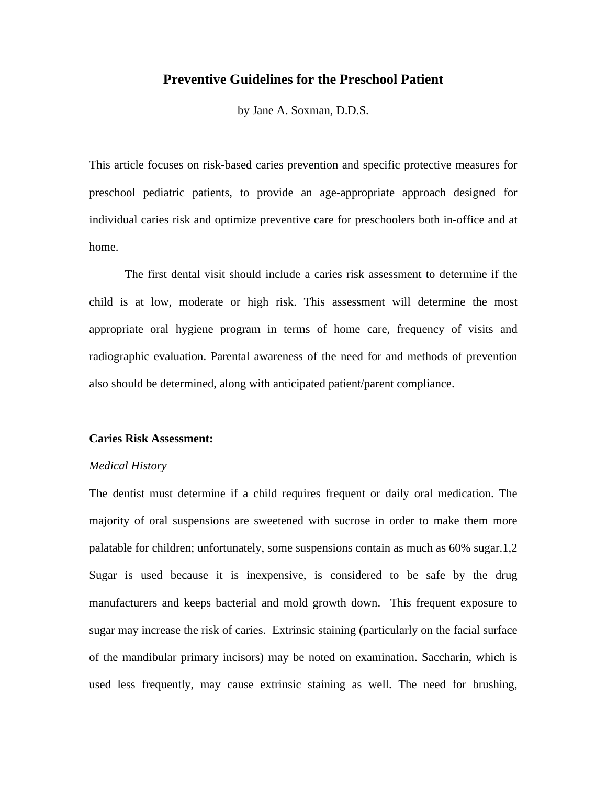# **Preventive Guidelines for the Preschool Patient**

by Jane A. Soxman, D.D.S.

This article focuses on risk-based caries prevention and specific protective measures for preschool pediatric patients, to provide an age-appropriate approach designed for individual caries risk and optimize preventive care for preschoolers both in-office and at home.

The first dental visit should include a caries risk assessment to determine if the child is at low, moderate or high risk. This assessment will determine the most appropriate oral hygiene program in terms of home care, frequency of visits and radiographic evaluation. Parental awareness of the need for and methods of prevention also should be determined, along with anticipated patient/parent compliance.

#### **Caries Risk Assessment:**

#### *Medical History*

The dentist must determine if a child requires frequent or daily oral medication. The majority of oral suspensions are sweetened with sucrose in order to make them more palatable for children; unfortunately, some suspensions contain as much as 60% sugar.1,2 Sugar is used because it is inexpensive, is considered to be safe by the drug manufacturers and keeps bacterial and mold growth down. This frequent exposure to sugar may increase the risk of caries. Extrinsic staining (particularly on the facial surface of the mandibular primary incisors) may be noted on examination. Saccharin, which is used less frequently, may cause extrinsic staining as well. The need for brushing,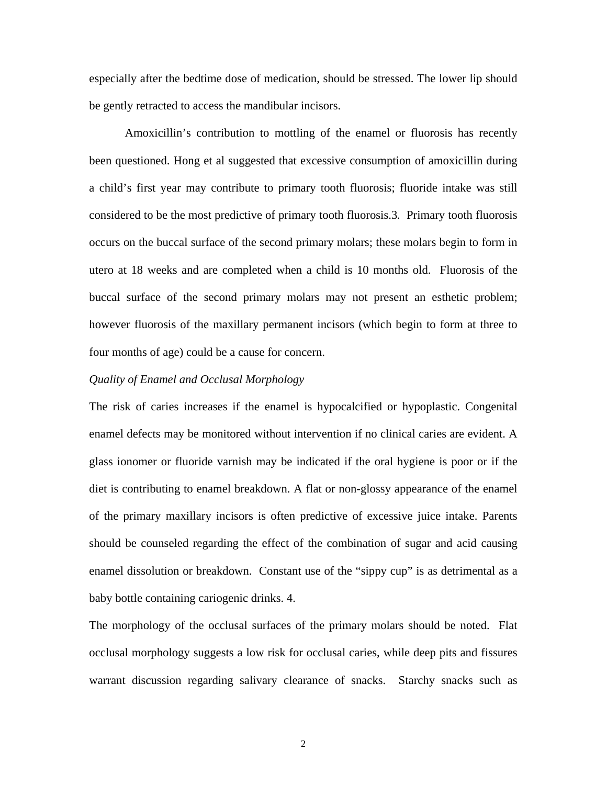especially after the bedtime dose of medication, should be stressed. The lower lip should be gently retracted to access the mandibular incisors.

Amoxicillin's contribution to mottling of the enamel or fluorosis has recently been questioned. Hong et al suggested that excessive consumption of amoxicillin during a child's first year may contribute to primary tooth fluorosis; fluoride intake was still considered to be the most predictive of primary tooth fluorosis.3*.* Primary tooth fluorosis occurs on the buccal surface of the second primary molars; these molars begin to form in utero at 18 weeks and are completed when a child is 10 months old. Fluorosis of the buccal surface of the second primary molars may not present an esthetic problem; however fluorosis of the maxillary permanent incisors (which begin to form at three to four months of age) could be a cause for concern.

## *Quality of Enamel and Occlusal Morphology*

The risk of caries increases if the enamel is hypocalcified or hypoplastic. Congenital enamel defects may be monitored without intervention if no clinical caries are evident. A glass ionomer or fluoride varnish may be indicated if the oral hygiene is poor or if the diet is contributing to enamel breakdown. A flat or non-glossy appearance of the enamel of the primary maxillary incisors is often predictive of excessive juice intake. Parents should be counseled regarding the effect of the combination of sugar and acid causing enamel dissolution or breakdown. Constant use of the "sippy cup" is as detrimental as a baby bottle containing cariogenic drinks. 4.

The morphology of the occlusal surfaces of the primary molars should be noted. Flat occlusal morphology suggests a low risk for occlusal caries, while deep pits and fissures warrant discussion regarding salivary clearance of snacks. Starchy snacks such as

2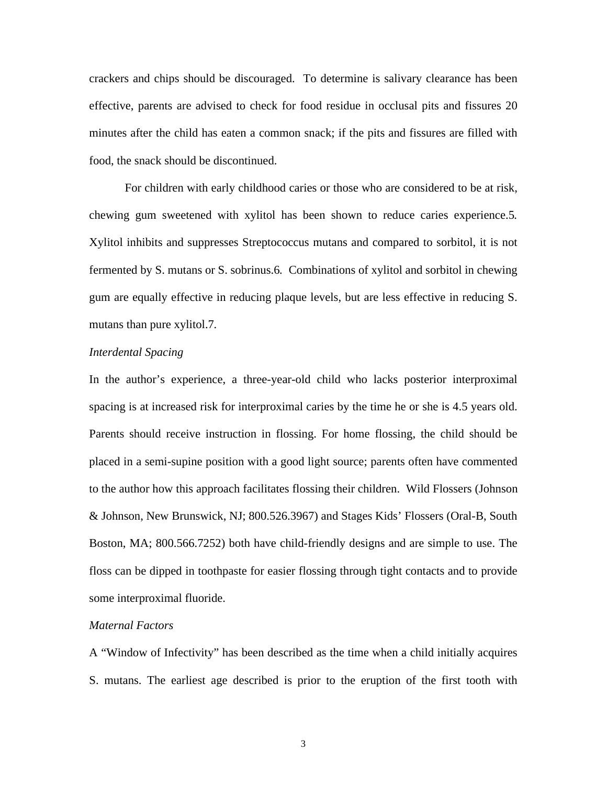crackers and chips should be discouraged. To determine is salivary clearance has been effective, parents are advised to check for food residue in occlusal pits and fissures 20 minutes after the child has eaten a common snack; if the pits and fissures are filled with food, the snack should be discontinued.

For children with early childhood caries or those who are considered to be at risk, chewing gum sweetened with xylitol has been shown to reduce caries experience.5*.*  Xylitol inhibits and suppresses Streptococcus mutans and compared to sorbitol, it is not fermented by S. mutans or S. sobrinus.6*.* Combinations of xylitol and sorbitol in chewing gum are equally effective in reducing plaque levels, but are less effective in reducing S. mutans than pure xylitol.7*.* 

# *Interdental Spacing*

In the author's experience, a three-year-old child who lacks posterior interproximal spacing is at increased risk for interproximal caries by the time he or she is 4.5 years old. Parents should receive instruction in flossing. For home flossing, the child should be placed in a semi-supine position with a good light source; parents often have commented to the author how this approach facilitates flossing their children. Wild Flossers (Johnson & Johnson, New Brunswick, NJ; 800.526.3967) and Stages Kids' Flossers (Oral-B, South Boston, MA; 800.566.7252) both have child-friendly designs and are simple to use. The floss can be dipped in toothpaste for easier flossing through tight contacts and to provide some interproximal fluoride.

## *Maternal Factors*

A "Window of Infectivity" has been described as the time when a child initially acquires S. mutans. The earliest age described is prior to the eruption of the first tooth with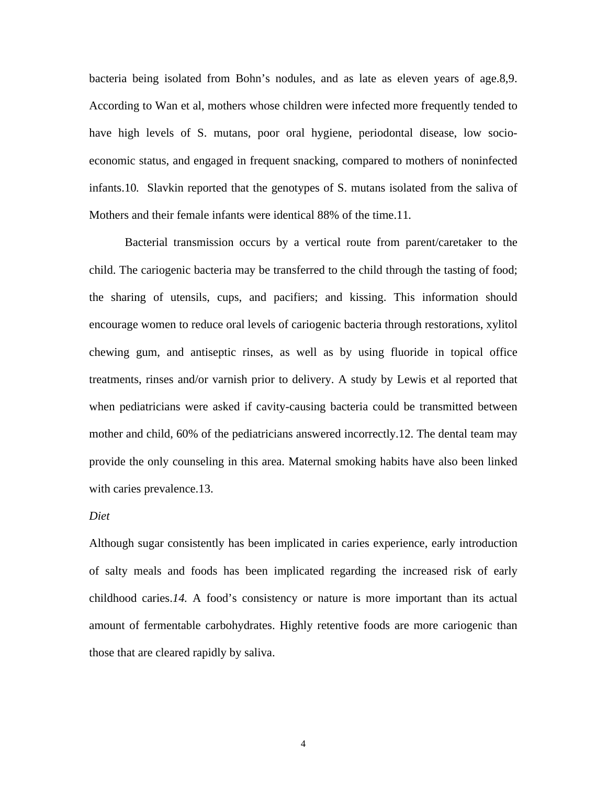bacteria being isolated from Bohn's nodules, and as late as eleven years of age.8,9. According to Wan et al, mothers whose children were infected more frequently tended to have high levels of S. mutans, poor oral hygiene, periodontal disease, low socioeconomic status, and engaged in frequent snacking, compared to mothers of noninfected infants.10*.* Slavkin reported that the genotypes of S. mutans isolated from the saliva of Mothers and their female infants were identical 88% of the time.11*.* 

Bacterial transmission occurs by a vertical route from parent/caretaker to the child. The cariogenic bacteria may be transferred to the child through the tasting of food; the sharing of utensils, cups, and pacifiers; and kissing. This information should encourage women to reduce oral levels of cariogenic bacteria through restorations, xylitol chewing gum, and antiseptic rinses, as well as by using fluoride in topical office treatments, rinses and/or varnish prior to delivery. A study by Lewis et al reported that when pediatricians were asked if cavity-causing bacteria could be transmitted between mother and child, 60% of the pediatricians answered incorrectly.12. The dental team may provide the only counseling in this area. Maternal smoking habits have also been linked with caries prevalence.13.

### *Diet*

Although sugar consistently has been implicated in caries experience, early introduction of salty meals and foods has been implicated regarding the increased risk of early childhood caries.*14.* A food's consistency or nature is more important than its actual amount of fermentable carbohydrates. Highly retentive foods are more cariogenic than those that are cleared rapidly by saliva.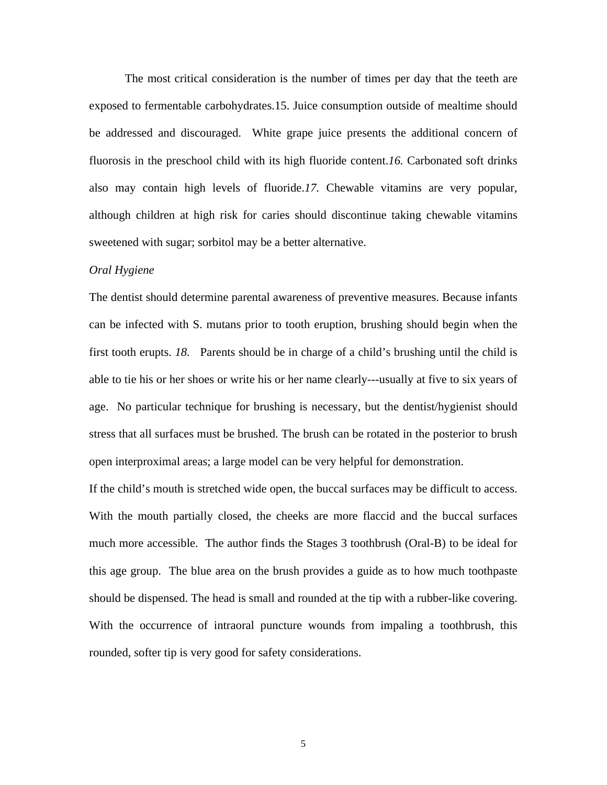The most critical consideration is the number of times per day that the teeth are exposed to fermentable carbohydrates.15. Juice consumption outside of mealtime should be addressed and discouraged. White grape juice presents the additional concern of fluorosis in the preschool child with its high fluoride content.*16.* Carbonated soft drinks also may contain high levels of fluoride.*17.* Chewable vitamins are very popular, although children at high risk for caries should discontinue taking chewable vitamins sweetened with sugar; sorbitol may be a better alternative.

#### *Oral Hygiene*

The dentist should determine parental awareness of preventive measures. Because infants can be infected with S. mutans prior to tooth eruption, brushing should begin when the first tooth erupts. *18.* Parents should be in charge of a child's brushing until the child is able to tie his or her shoes or write his or her name clearly---usually at five to six years of age. No particular technique for brushing is necessary, but the dentist/hygienist should stress that all surfaces must be brushed. The brush can be rotated in the posterior to brush open interproximal areas; a large model can be very helpful for demonstration.

If the child's mouth is stretched wide open, the buccal surfaces may be difficult to access. With the mouth partially closed, the cheeks are more flaccid and the buccal surfaces much more accessible. The author finds the Stages 3 toothbrush (Oral-B) to be ideal for this age group. The blue area on the brush provides a guide as to how much toothpaste should be dispensed. The head is small and rounded at the tip with a rubber-like covering. With the occurrence of intraoral puncture wounds from impaling a toothbrush, this rounded, softer tip is very good for safety considerations.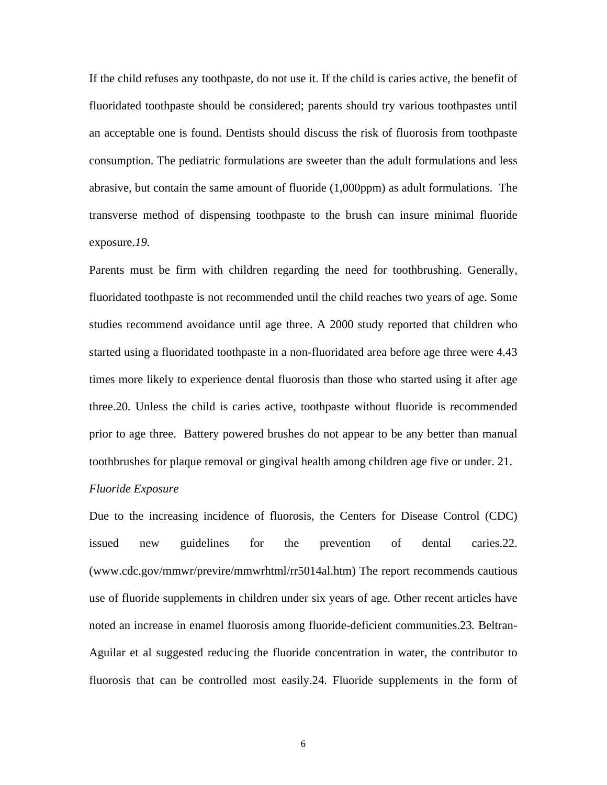If the child refuses any toothpaste, do not use it. If the child is caries active, the benefit of fluoridated toothpaste should be considered; parents should try various toothpastes until an acceptable one is found. Dentists should discuss the risk of fluorosis from toothpaste consumption. The pediatric formulations are sweeter than the adult formulations and less abrasive, but contain the same amount of fluoride (1,000ppm) as adult formulations. The transverse method of dispensing toothpaste to the brush can insure minimal fluoride exposure.*19.* 

Parents must be firm with children regarding the need for toothbrushing. Generally, fluoridated toothpaste is not recommended until the child reaches two years of age. Some studies recommend avoidance until age three. A 2000 study reported that children who started using a fluoridated toothpaste in a non-fluoridated area before age three were 4.43 times more likely to experience dental fluorosis than those who started using it after age three.20*.* Unless the child is caries active, toothpaste without fluoride is recommended prior to age three. Battery powered brushes do not appear to be any better than manual toothbrushes for plaque removal or gingival health among children age five or under. 21.

#### *Fluoride Exposure*

Due to the increasing incidence of fluorosis, the Centers for Disease Control (CDC) issued new guidelines for the prevention of dental caries.22. (www.cdc.gov/mmwr/previre/mmwrhtml/rr5014al.htm) The report recommends cautious use of fluoride supplements in children under six years of age. Other recent articles have noted an increase in enamel fluorosis among fluoride-deficient communities.23*.* Beltran-Aguilar et al suggested reducing the fluoride concentration in water, the contributor to fluorosis that can be controlled most easily.24. Fluoride supplements in the form of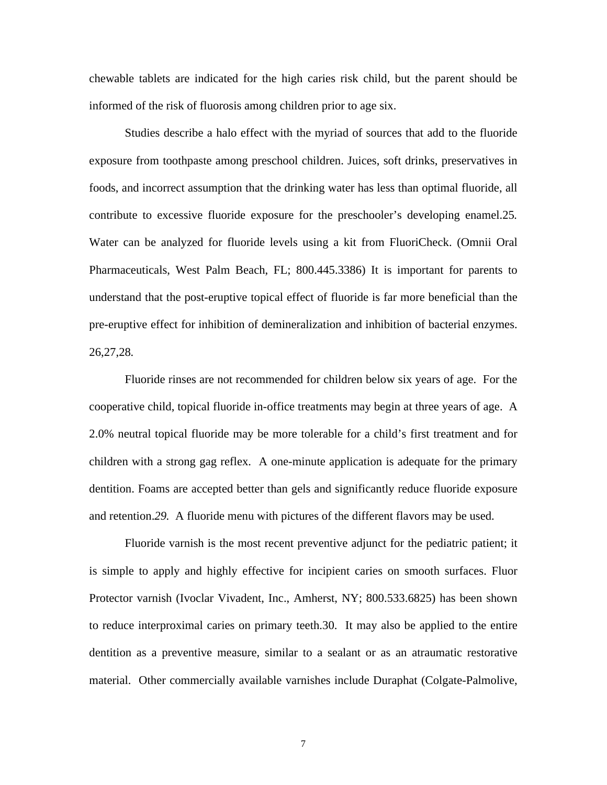chewable tablets are indicated for the high caries risk child, but the parent should be informed of the risk of fluorosis among children prior to age six.

Studies describe a halo effect with the myriad of sources that add to the fluoride exposure from toothpaste among preschool children. Juices, soft drinks, preservatives in foods, and incorrect assumption that the drinking water has less than optimal fluoride, all contribute to excessive fluoride exposure for the preschooler's developing enamel.25*.*  Water can be analyzed for fluoride levels using a kit from FluoriCheck. (Omnii Oral Pharmaceuticals, West Palm Beach, FL; 800.445.3386) It is important for parents to understand that the post-eruptive topical effect of fluoride is far more beneficial than the pre-eruptive effect for inhibition of demineralization and inhibition of bacterial enzymes. 26,27,28*.* 

Fluoride rinses are not recommended for children below six years of age. For the cooperative child, topical fluoride in-office treatments may begin at three years of age. A 2.0% neutral topical fluoride may be more tolerable for a child's first treatment and for children with a strong gag reflex. A one-minute application is adequate for the primary dentition. Foams are accepted better than gels and significantly reduce fluoride exposure and retention.*29.* A fluoride menu with pictures of the different flavors may be used.

Fluoride varnish is the most recent preventive adjunct for the pediatric patient; it is simple to apply and highly effective for incipient caries on smooth surfaces. Fluor Protector varnish (Ivoclar Vivadent, Inc., Amherst, NY; 800.533.6825) has been shown to reduce interproximal caries on primary teeth.30. It may also be applied to the entire dentition as a preventive measure, similar to a sealant or as an atraumatic restorative material. Other commercially available varnishes include Duraphat (Colgate-Palmolive,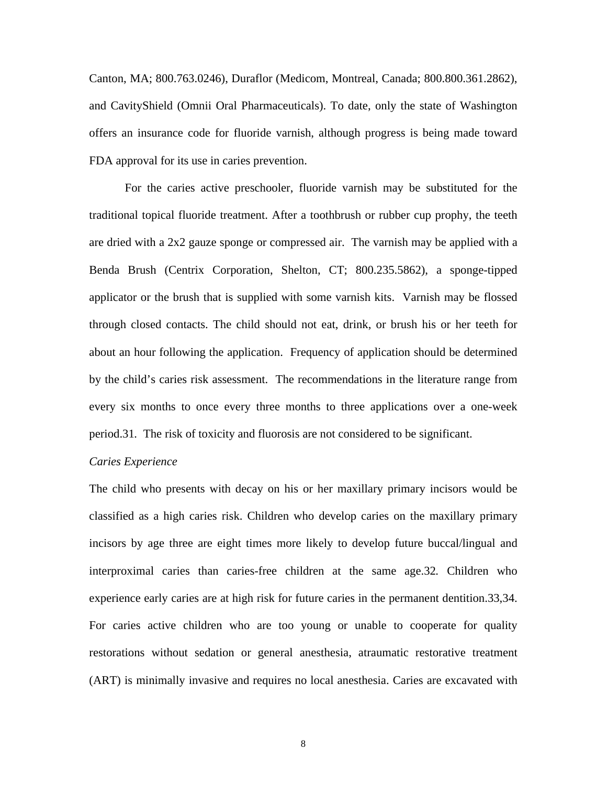Canton, MA; 800.763.0246), Duraflor (Medicom, Montreal, Canada; 800.800.361.2862), and CavityShield (Omnii Oral Pharmaceuticals). To date, only the state of Washington offers an insurance code for fluoride varnish, although progress is being made toward FDA approval for its use in caries prevention.

For the caries active preschooler, fluoride varnish may be substituted for the traditional topical fluoride treatment. After a toothbrush or rubber cup prophy, the teeth are dried with a 2x2 gauze sponge or compressed air. The varnish may be applied with a Benda Brush (Centrix Corporation, Shelton, CT; 800.235.5862), a sponge-tipped applicator or the brush that is supplied with some varnish kits. Varnish may be flossed through closed contacts. The child should not eat, drink, or brush his or her teeth for about an hour following the application. Frequency of application should be determined by the child's caries risk assessment. The recommendations in the literature range from every six months to once every three months to three applications over a one-week period.31*.* The risk of toxicity and fluorosis are not considered to be significant.

# *Caries Experience*

The child who presents with decay on his or her maxillary primary incisors would be classified as a high caries risk. Children who develop caries on the maxillary primary incisors by age three are eight times more likely to develop future buccal/lingual and interproximal caries than caries-free children at the same age.32*.* Children who experience early caries are at high risk for future caries in the permanent dentition.33,34. For caries active children who are too young or unable to cooperate for quality restorations without sedation or general anesthesia, atraumatic restorative treatment (ART) is minimally invasive and requires no local anesthesia. Caries are excavated with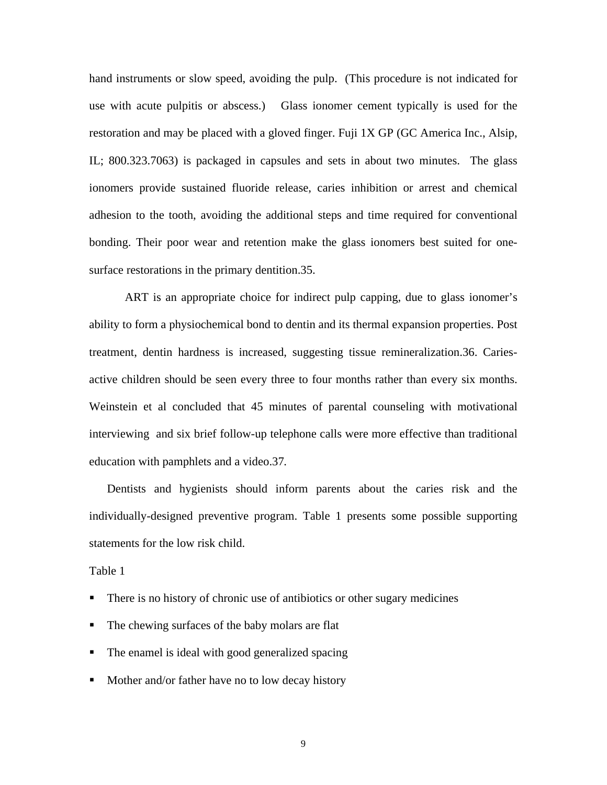hand instruments or slow speed, avoiding the pulp. (This procedure is not indicated for use with acute pulpitis or abscess.) Glass ionomer cement typically is used for the restoration and may be placed with a gloved finger. Fuji 1X GP (GC America Inc., Alsip, IL; 800.323.7063) is packaged in capsules and sets in about two minutes. The glass ionomers provide sustained fluoride release, caries inhibition or arrest and chemical adhesion to the tooth, avoiding the additional steps and time required for conventional bonding. Their poor wear and retention make the glass ionomers best suited for onesurface restorations in the primary dentition.35.

ART is an appropriate choice for indirect pulp capping, due to glass ionomer's ability to form a physiochemical bond to dentin and its thermal expansion properties. Post treatment, dentin hardness is increased, suggesting tissue remineralization.36. Cariesactive children should be seen every three to four months rather than every six months. Weinstein et al concluded that 45 minutes of parental counseling with motivational interviewing and six brief follow-up telephone calls were more effective than traditional education with pamphlets and a video.37*.* 

Dentists and hygienists should inform parents about the caries risk and the individually-designed preventive program. Table 1 presents some possible supporting statements for the low risk child.

Table 1

- There is no history of chronic use of antibiotics or other sugary medicines
- The chewing surfaces of the baby molars are flat
- The enamel is ideal with good generalized spacing
- Mother and/or father have no to low decay history

9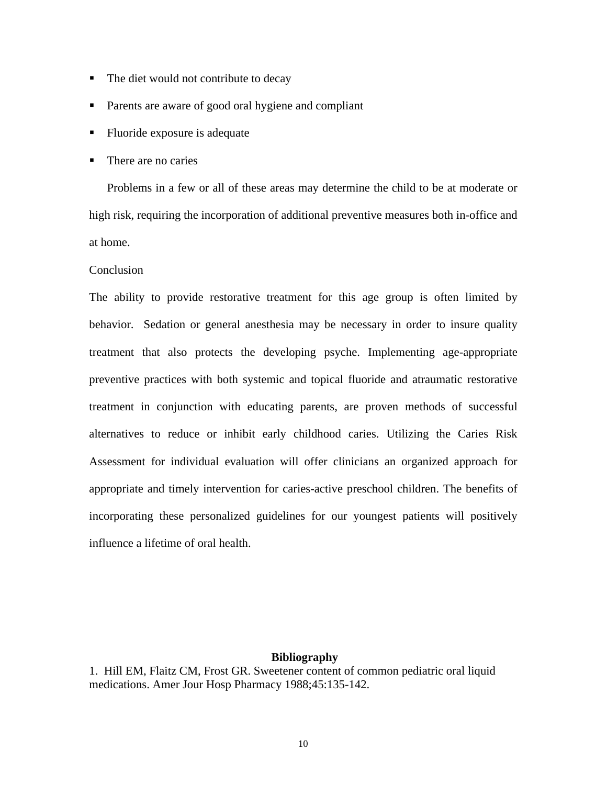- The diet would not contribute to decay
- **Parents are aware of good oral hygiene and compliant**
- Fluoride exposure is adequate
- There are no caries

Problems in a few or all of these areas may determine the child to be at moderate or high risk, requiring the incorporation of additional preventive measures both in-office and at home.

### **Conclusion**

The ability to provide restorative treatment for this age group is often limited by behavior. Sedation or general anesthesia may be necessary in order to insure quality treatment that also protects the developing psyche. Implementing age-appropriate preventive practices with both systemic and topical fluoride and atraumatic restorative treatment in conjunction with educating parents, are proven methods of successful alternatives to reduce or inhibit early childhood caries. Utilizing the Caries Risk Assessment for individual evaluation will offer clinicians an organized approach for appropriate and timely intervention for caries-active preschool children. The benefits of incorporating these personalized guidelines for our youngest patients will positively influence a lifetime of oral health.

## **Bibliography**

1. Hill EM, Flaitz CM, Frost GR. Sweetener content of common pediatric oral liquid medications. Amer Jour Hosp Pharmacy 1988;45:135-142.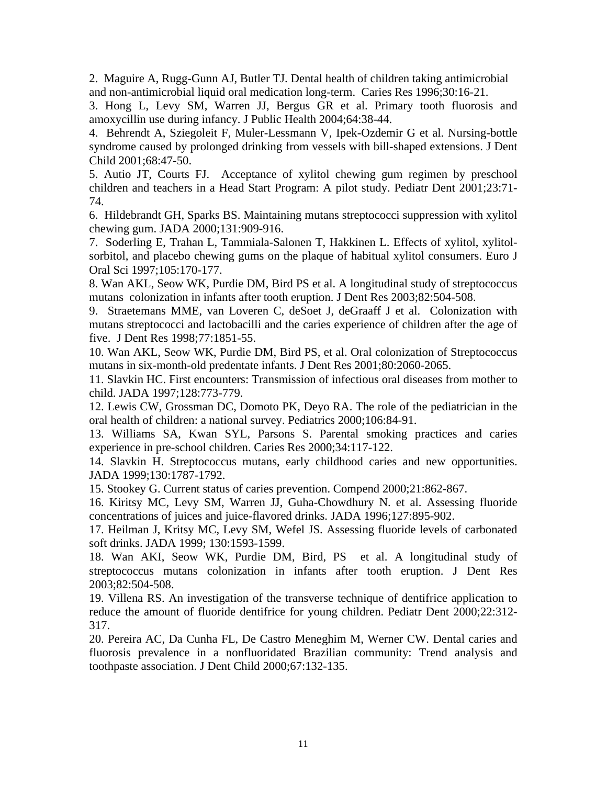2. Maguire A, Rugg-Gunn AJ, Butler TJ. Dental health of children taking antimicrobial and non-antimicrobial liquid oral medication long-term. Caries Res 1996;30:16-21.

3. Hong L, Levy SM, Warren JJ, Bergus GR et al. Primary tooth fluorosis and amoxycillin use during infancy. J Public Health 2004;64:38-44.

4. Behrendt A, Sziegoleit F, Muler-Lessmann V, Ipek-Ozdemir G et al. Nursing-bottle syndrome caused by prolonged drinking from vessels with bill-shaped extensions. J Dent Child 2001;68:47-50.

5. Autio JT, Courts FJ. Acceptance of xylitol chewing gum regimen by preschool children and teachers in a Head Start Program: A pilot study. Pediatr Dent 2001;23:71- 74.

6. Hildebrandt GH, Sparks BS. Maintaining mutans streptococci suppression with xylitol chewing gum. JADA 2000;131:909-916.

7. Soderling E, Trahan L, Tammiala-Salonen T, Hakkinen L. Effects of xylitol, xylitolsorbitol, and placebo chewing gums on the plaque of habitual xylitol consumers. Euro J Oral Sci 1997;105:170-177.

8. Wan AKL, Seow WK, Purdie DM, Bird PS et al. A longitudinal study of streptococcus mutans colonization in infants after tooth eruption. J Dent Res 2003;82:504-508.

9. Straetemans MME, van Loveren C, deSoet J, deGraaff J et al. Colonization with mutans streptococci and lactobacilli and the caries experience of children after the age of five. J Dent Res 1998;77:1851-55.

10. Wan AKL, Seow WK, Purdie DM, Bird PS, et al. Oral colonization of Streptococcus mutans in six-month-old predentate infants. J Dent Res 2001;80:2060-2065.

11. Slavkin HC. First encounters: Transmission of infectious oral diseases from mother to child. JADA 1997;128:773-779.

12. Lewis CW, Grossman DC, Domoto PK, Deyo RA. The role of the pediatrician in the oral health of children: a national survey. Pediatrics 2000;106:84-91.

13. Williams SA, Kwan SYL, Parsons S. Parental smoking practices and caries experience in pre-school children. Caries Res 2000;34:117-122.

14. Slavkin H. Streptococcus mutans, early childhood caries and new opportunities. JADA 1999;130:1787-1792.

15. Stookey G. Current status of caries prevention. Compend 2000;21:862-867.

16. Kiritsy MC, Levy SM, Warren JJ, Guha-Chowdhury N. et al. Assessing fluoride concentrations of juices and juice-flavored drinks. JADA 1996;127:895-902.

17. Heilman J, Kritsy MC, Levy SM, Wefel JS. Assessing fluoride levels of carbonated soft drinks. JADA 1999; 130:1593-1599.

18. Wan AKI, Seow WK, Purdie DM, Bird, PS et al. A longitudinal study of streptococcus mutans colonization in infants after tooth eruption. J Dent Res 2003;82:504-508.

19. Villena RS. An investigation of the transverse technique of dentifrice application to reduce the amount of fluoride dentifrice for young children. Pediatr Dent 2000;22:312- 317.

20. Pereira AC, Da Cunha FL, De Castro Meneghim M, Werner CW. Dental caries and fluorosis prevalence in a nonfluoridated Brazilian community: Trend analysis and toothpaste association. J Dent Child 2000;67:132-135.